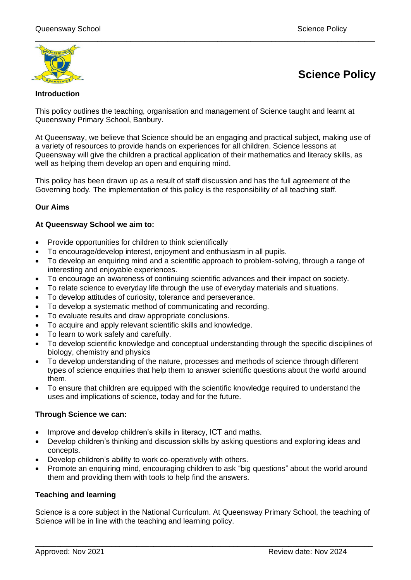

# **Science Policy**

### **Introduction**

This policy outlines the teaching, organisation and management of Science taught and learnt at Queensway Primary School, Banbury.

At Queensway, we believe that Science should be an engaging and practical subject, making use of a variety of resources to provide hands on experiences for all children. Science lessons at Queensway will give the children a practical application of their mathematics and literacy skills, as well as helping them develop an open and enquiring mind.

This policy has been drawn up as a result of staff discussion and has the full agreement of the Governing body. The implementation of this policy is the responsibility of all teaching staff.

# **Our Aims**

#### **At Queensway School we aim to:**

- Provide opportunities for children to think scientifically
- To encourage/develop interest, enjoyment and enthusiasm in all pupils.
- To develop an enquiring mind and a scientific approach to problem-solving, through a range of interesting and enjoyable experiences.
- To encourage an awareness of continuing scientific advances and their impact on society.
- To relate science to everyday life through the use of everyday materials and situations.
- To develop attitudes of curiosity, tolerance and perseverance.
- To develop a systematic method of communicating and recording.
- To evaluate results and draw appropriate conclusions.
- To acquire and apply relevant scientific skills and knowledge.
- To learn to work safely and carefully.
- To develop scientific knowledge and conceptual understanding through the specific disciplines of biology, chemistry and physics
- To develop understanding of the nature, processes and methods of science through different types of science enquiries that help them to answer scientific questions about the world around them.
- To ensure that children are equipped with the scientific knowledge required to understand the uses and implications of science, today and for the future.

#### **Through Science we can:**

- Improve and develop children's skills in literacy, ICT and maths.
- Develop children's thinking and discussion skills by asking questions and exploring ideas and concepts.
- Develop children's ability to work co-operatively with others.
- Promote an enquiring mind, encouraging children to ask "big questions" about the world around them and providing them with tools to help find the answers.

# **Teaching and learning**

Science is a core subject in the National Curriculum. At Queensway Primary School, the teaching of Science will be in line with the teaching and learning policy.

\_\_\_\_\_\_\_\_\_\_\_\_\_\_\_\_\_\_\_\_\_\_\_\_\_\_\_\_\_\_\_\_\_\_\_\_\_\_\_\_\_\_\_\_\_\_\_\_\_\_\_\_\_\_\_\_\_\_\_\_\_\_\_\_\_\_\_\_\_\_\_\_\_\_\_\_\_\_\_\_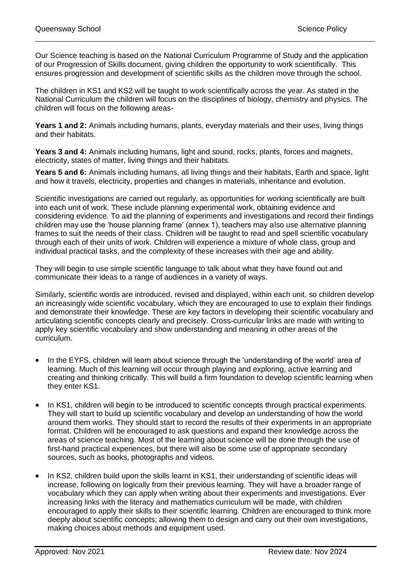Our Science teaching is based on the National Curriculum Programme of Study and the application of our Progression of Skills document, giving children the opportunity to work scientifically. This ensures progression and development of scientific skills as the children move through the school.

\_\_\_\_\_\_\_\_\_\_\_\_\_\_\_\_\_\_\_\_\_\_\_\_\_\_\_\_\_\_\_\_\_\_\_\_\_\_\_\_\_\_\_\_\_\_\_\_\_\_\_\_\_\_\_\_\_\_\_\_\_\_\_\_\_\_\_\_\_\_\_\_\_\_\_\_\_\_\_\_\_\_

The children in KS1 and KS2 will be taught to work scientifically across the year. As stated in the National Curriculum the children will focus on the disciplines of biology, chemistry and physics. The children will focus on the following areas-

**Years 1 and 2:** Animals including humans, plants, everyday materials and their uses, living things and their habitats.

**Years 3 and 4:** Animals including humans, light and sound, rocks, plants, forces and magnets, electricity, states of matter, living things and their habitats.

**Years 5 and 6:** Animals including humans, all living things and their habitats, Earth and space, light and how it travels, electricity, properties and changes in materials, inheritance and evolution.

Scientific investigations are carried out regularly, as opportunities for working scientifically are built into each unit of work. These include planning experimental work, obtaining evidence and considering evidence. To aid the planning of experiments and investigations and record their findings children may use the 'house planning frame' (annex 1), teachers may also use alternative planning frames to suit the needs of their class. Children will be taught to read and spell scientific vocabulary through each of their units of work. Children will experience a mixture of whole class, group and individual practical tasks, and the complexity of these increases with their age and ability.

They will begin to use simple scientific language to talk about what they have found out and communicate their ideas to a range of audiences in a variety of ways.

Similarly, scientific words are introduced, revised and displayed, within each unit, so children develop an increasingly wide scientific vocabulary, which they are encouraged to use to explain their findings and demonstrate their knowledge. These are key factors in developing their scientific vocabulary and articulating scientific concepts clearly and precisely. Cross-curricular links are made with writing to apply key scientific vocabulary and show understanding and meaning in other areas of the curriculum.

- In the EYFS, children will learn about science through the 'understanding of the world' area of learning. Much of this learning will occur through playing and exploring, active learning and creating and thinking critically. This will build a firm foundation to develop scientific learning when they enter KS1.
- In KS1, children will begin to be introduced to scientific concepts through practical experiments. They will start to build up scientific vocabulary and develop an understanding of how the world around them works. They should start to record the results of their experiments in an appropriate format. Children will be encouraged to ask questions and expand their knowledge across the areas of science teaching. Most of the learning about science will be done through the use of first-hand practical experiences, but there will also be some use of appropriate secondary sources, such as books, photographs and videos.
- In KS2, children build upon the skills learnt in KS1, their understanding of scientific ideas will increase, following on logically from their previous learning. They will have a broader range of vocabulary which they can apply when writing about their experiments and investigations. Ever increasing links with the literacy and mathematics curriculum will be made, with children encouraged to apply their skills to their scientific learning. Children are encouraged to think more deeply about scientific concepts; allowing them to design and carry out their own investigations, making choices about methods and equipment used.